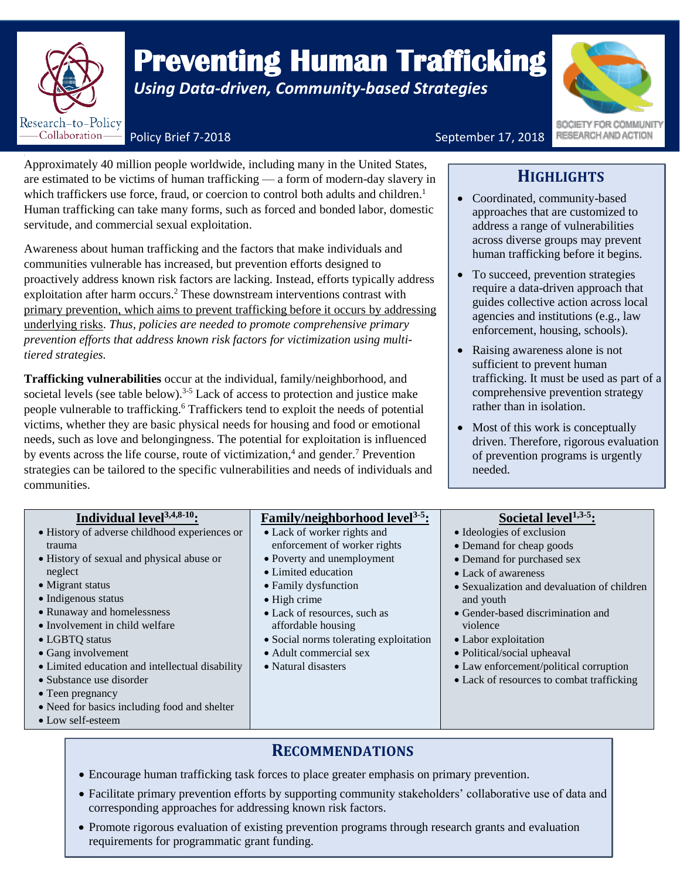

## *Premistal Duman Transplane Busing Data-driven, Community-based Strategies* **Preventing Human Trafficking**

SOCIETY FOR COMMUNIT RESEARCH AND ACTION

Policy Brief 7-2018 **September 17, 2018** 

Approximately 40 million people worldwide, including many in the United States, are estimated to be victims of human trafficking — a form of modern-day slavery in which traffickers use force, fraud, or coercion to control both adults and children.<sup>1</sup> Human trafficking can take many forms, such as forced and bonded labor, domestic servitude, and commercial sexual exploitation.

Awareness about human trafficking and the factors that make individuals and communities vulnerable has increased, but prevention efforts designed to proactively address known risk factors are lacking. Instead, efforts typically address exploitation after harm occurs.<sup>2</sup> These downstream interventions contrast with primary prevention, which aims to prevent trafficking before it occurs by addressing underlying risks. *Thus, policies are needed to promote comprehensive primary prevention efforts that address known risk factors for victimization using multitiered strategies.* 

**Trafficking vulnerabilities** occur at the individual, family/neighborhood, and societal levels (see table below).<sup>3-5</sup> Lack of access to protection and justice make people vulnerable to trafficking.<sup>6</sup> Traffickers tend to exploit the needs of potential victims, whether they are basic physical needs for housing and food or emotional needs, such as love and belongingness. The potential for exploitation is influenced by events across the life course, route of victimization,<sup>4</sup> and gender.<sup>7</sup> Prevention strategies can be tailored to the specific vulnerabilities and needs of individuals and communities.

## **HIGHLIGHTS**

- Coordinated, community-based approaches that are customized to address a range of vulnerabilities across diverse groups may prevent human trafficking before it begins.
- To succeed, prevention strategies require a data-driven approach that guides collective action across local agencies and institutions (e.g., law enforcement, housing, schools).
- Raising awareness alone is not sufficient to prevent human trafficking. It must be used as part of a comprehensive prevention strategy rather than in isolation.
- Most of this work is conceptually driven. Therefore, rigorous evaluation of prevention programs is urgently needed.

| Individual level <sup>3,4,8-10</sup> :          | <b>Family/neighborhood level</b> <sup>3-5</sup> : | Societal level $1,3-5$ :                    |
|-------------------------------------------------|---------------------------------------------------|---------------------------------------------|
| • History of adverse childhood experiences or   | • Lack of worker rights and                       | • Ideologies of exclusion                   |
| trauma                                          | enforcement of worker rights                      | • Demand for cheap goods                    |
| • History of sexual and physical abuse or       | • Poverty and unemployment                        | • Demand for purchased sex                  |
| neglect                                         | • Limited education                               | • Lack of awareness                         |
| $\bullet$ Migrant status                        | • Family dysfunction                              | • Sexualization and devaluation of children |
| • Indigenous status                             | $\bullet$ High crime                              | and youth                                   |
| • Runaway and homelessness                      | • Lack of resources, such as                      | • Gender-based discrimination and           |
| • Involvement in child welfare                  | affordable housing                                | violence                                    |
| • LGBTQ status                                  | • Social norms tolerating exploitation            | • Labor exploitation                        |
| • Gang involvement                              | • Adult commercial sex                            | • Political/social upheaval                 |
| • Limited education and intellectual disability | • Natural disasters                               | • Law enforcement/political corruption      |
| • Substance use disorder                        |                                                   | • Lack of resources to combat trafficking   |
| • Teen pregnancy                                |                                                   |                                             |
| • Need for basics including food and shelter    |                                                   |                                             |
| • Low self-esteem                               |                                                   |                                             |

## **RECOMMENDATIONS**

- Encourage human trafficking task forces to place greater emphasis on primary prevention.
- Facilitate primary prevention efforts by supporting community stakeholders' collaborative use of data and corresponding approaches for addressing known risk factors.
- Promote rigorous evaluation of existing prevention programs through research grants and evaluation requirements for programmatic grant funding.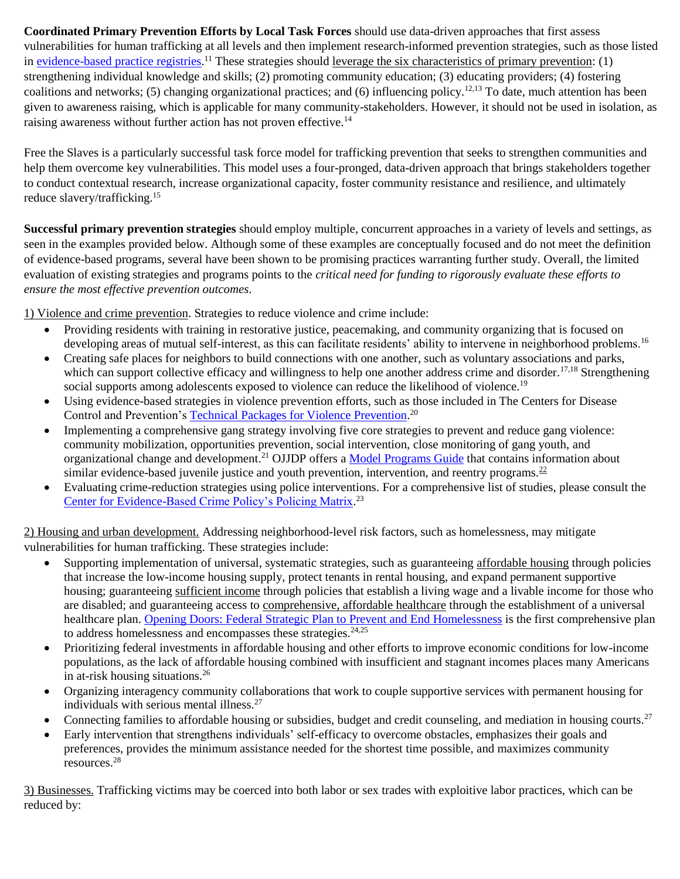**Coordinated Primary Prevention Efforts by Local Task Forces** should use data-driven approaches that first assess vulnerabilities for human trafficking at all levels and then implement research-informed prevention strategies, such as those listed in [evidence-based practice registries.](https://www.childwelfare.gov/topics/management/practice-improvement/evidence/registries-resources/registries/prevention/)<sup>11</sup> These strategies should leverage the six characteristics of primary prevention: (1) strengthening individual knowledge and skills; (2) promoting community education; (3) educating providers; (4) fostering coalitions and networks; (5) changing organizational practices; and (6) influencing policy.12,13 To date, much attention has been given to awareness raising, which is applicable for many community-stakeholders. However, it should not be used in isolation, as raising awareness without further action has not proven effective.<sup>14</sup>

Free the Slaves is a particularly successful task force model for trafficking prevention that seeks to strengthen communities and help them overcome key vulnerabilities. This model uses a four-pronged, data-driven approach that brings stakeholders together to conduct contextual research, increase organizational capacity, foster community resistance and resilience, and ultimately reduce slavery/trafficking.<sup>15</sup>

**Successful primary prevention strategies** should employ multiple, concurrent approaches in a variety of levels and settings, as seen in the examples provided below. Although some of these examples are conceptually focused and do not meet the definition of evidence-based programs, several have been shown to be promising practices warranting further study. Overall, the limited evaluation of existing strategies and programs points to the *critical need for funding to rigorously evaluate these efforts to ensure the most effective prevention outcomes.*

1) Violence and crime prevention. Strategies to reduce violence and crime include:

- Providing residents with training in restorative justice, peacemaking, and community organizing that is focused on developing areas of mutual self-interest, as this can facilitate residents' ability to intervene in neighborhood problems.<sup>16</sup>
- Creating safe places for neighbors to build connections with one another, such as voluntary associations and parks, which can support collective efficacy and willingness to help one another address crime and disorder.<sup>17,18</sup> Strengthening social supports among adolescents exposed to violence can reduce the likelihood of violence.<sup>19</sup>
- Using evidence-based strategies in violence prevention efforts, such as those included in The Centers for Disease Control and Prevention's [Technical Packages for Violence Prevention.](https://www.cdc.gov/violenceprevention/pub/technical-packages.html)<sup>20</sup>
- Implementing a comprehensive gang strategy involving five core strategies to prevent and reduce gang violence: community mobilization, opportunities prevention, social intervention, close monitoring of gang youth, and organizational change and development.<sup>21</sup> OJJDP offers a [Model Programs Guide](https://www.ojjdp.gov/mpg) that contains information about similar evidence-based juvenile justice and youth prevention, intervention, and reentry programs. $^{22}$
- Evaluating crime-reduction strategies using police interventions. For a comprehensive list of studies, please consult the [Center for Evidence-Based Crime Policy's Policing Matrix.](http://cebcp.org/evidence-based-policing/the-matrix/)<sup>23</sup>

2) Housing and urban development. Addressing neighborhood-level risk factors, such as homelessness, may mitigate vulnerabilities for human trafficking. These strategies include:

- Supporting implementation of universal, systematic strategies, such as guaranteeing affordable housing through policies that increase the low-income housing supply, protect tenants in rental housing, and expand permanent supportive housing; guaranteeing sufficient income through policies that establish a living wage and a livable income for those who are disabled; and guaranteeing access to comprehensive, affordable healthcare through the establishment of a universal healthcare plan. [Opening Doors: Federal Strategic Plan to Prevent and End Homelessness](https://www.usich.gov/opening-doors) is the first comprehensive plan to address homelessness and encompasses these strategies. $24.25$
- Prioritizing federal investments in affordable housing and other efforts to improve economic conditions for low-income populations, as the lack of affordable housing combined with insufficient and stagnant incomes places many Americans in at-risk housing situations.<sup>26</sup>
- Organizing interagency community collaborations that work to couple supportive services with permanent housing for individuals with serious mental illness.<sup>27</sup>
- Connecting families to affordable housing or subsidies, budget and credit counseling, and mediation in housing courts.<sup>27</sup>
- Early intervention that strengthens individuals' self-efficacy to overcome obstacles, emphasizes their goals and preferences, provides the minimum assistance needed for the shortest time possible, and maximizes community resources.<sup>28</sup>

3) Businesses. Trafficking victims may be coerced into both labor or sex trades with exploitive labor practices, which can be reduced by: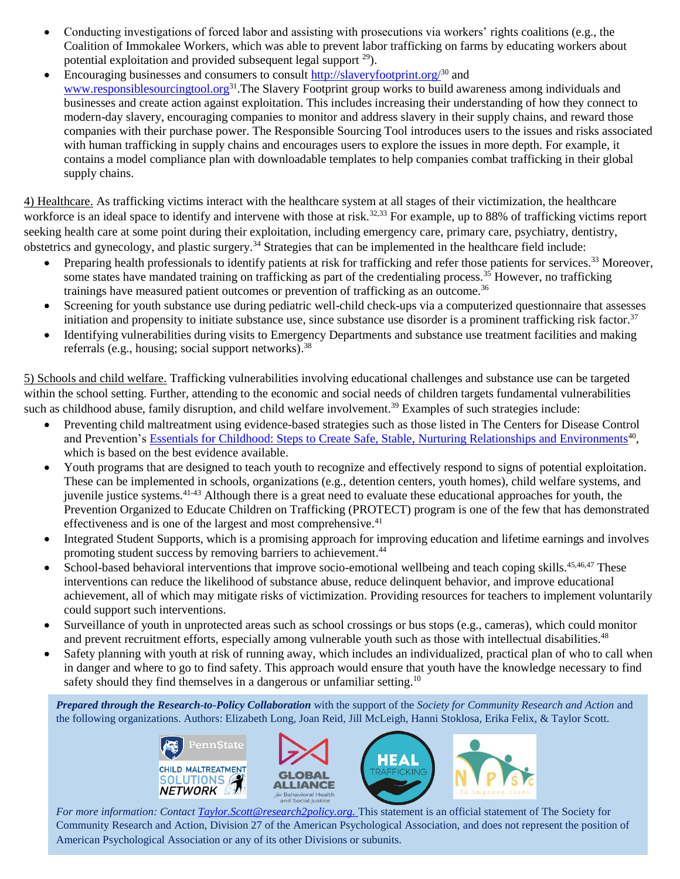- Conducting investigations of forced labor and assisting with prosecutions via workers' rights coalitions (e.g., the Coalition of Immokalee Workers, which was able to prevent labor trafficking on farms by educating workers about potential exploitation and provided subsequent legal support  $29$ ).
- Encouraging businesses and consumers to consult<http://slaveryfootprint.org/> $30$  and www.responsiblesourcingtool.org<sup>31</sup>.The Slavery Footprint group works to build awareness among individuals and businesses and create action against exploitation. This includes increasing their understanding of how they connect to modern-day slavery, encouraging companies to monitor and address slavery in their supply chains, and reward those companies with their purchase power. The Responsible Sourcing Tool introduces users to the issues and risks associated with human trafficking in supply chains and encourages users to explore the issues in more depth. For example, it contains a model compliance plan with downloadable templates to help companies combat trafficking in their global supply chains.

4) Healthcare. As trafficking victims interact with the healthcare system at all stages of their victimization, the healthcare workforce is an ideal space to identify and intervene with those at risk.<sup>32,33</sup> For example, up to 88% of trafficking victims report seeking health care at some point during their exploitation, including emergency care, primary care, psychiatry, dentistry, obstetrics and gynecology, and plastic surgery.<sup>34</sup> Strategies that can be implemented in the healthcare field include:

- Preparing health professionals to identify patients at risk for trafficking and refer those patients for services.<sup>33</sup> Moreover, some states have mandated training on trafficking as part of the credentialing process.<sup>35</sup> However, no trafficking trainings have measured patient outcomes or prevention of trafficking as an outcome.<sup>36</sup>
- Screening for youth substance use during pediatric well-child check-ups via a computerized questionnaire that assesses initiation and propensity to initiate substance use, since substance use disorder is a prominent trafficking risk factor. $37$
- Identifying vulnerabilities during visits to Emergency Departments and substance use treatment facilities and making referrals (e.g., housing; social support networks).<sup>38</sup>

5) Schools and child welfare. Trafficking vulnerabilities involving educational challenges and substance use can be targeted within the school setting. Further, attending to the economic and social needs of children targets fundamental vulnerabilities such as childhood abuse, family disruption, and child welfare involvement.<sup>39</sup> Examples of such strategies include:

- Preventing child maltreatment using evidence-based strategies such as those listed in The Centers for Disease Control and Prevention's [Essentials for Childhood: Steps to Create Safe, Stable, Nurturing Relationships and Environments](https://www.cdc.gov/violenceprevention/pdf/essentials_for_childhood_framework.pdf)<sup>40</sup>, which is based on the best evidence available.
- Youth programs that are designed to teach youth to recognize and effectively respond to signs of potential exploitation. These can be implemented in schools, organizations (e.g., detention centers, youth homes), child welfare systems, and juvenile justice systems.41-43 Although there is a great need to evaluate these educational approaches for youth, the Prevention Organized to Educate Children on Trafficking (PROTECT) program is one of the few that has demonstrated effectiveness and is one of the largest and most comprehensive.<sup>41</sup>
- Integrated Student Supports, which is a promising approach for improving education and lifetime earnings and involves promoting student success by removing barriers to achievement.<sup>44</sup>
- School-based behavioral interventions that improve socio-emotional wellbeing and teach coping skills.<sup>45,46,47</sup> These interventions can reduce the likelihood of substance abuse, reduce delinquent behavior, and improve educational achievement, all of which may mitigate risks of victimization. Providing resources for teachers to implement voluntarily could support such interventions.
- Surveillance of youth in unprotected areas such as school crossings or bus stops (e.g., cameras), which could monitor and prevent recruitment efforts, especially among vulnerable youth such as those with intellectual disabilities.<sup>48</sup>
- Safety planning with youth at risk of running away, which includes an individualized, practical plan of who to call when in danger and where to go to find safety. This approach would ensure that youth have the knowledge necessary to find safety should they find themselves in a dangerous or unfamiliar setting.<sup>10</sup>

*Prepared through the Research-to-Policy Collaboration* with the support of the *Society for Community Research and Action* and the following organizations. Authors: Elizabeth Long, Joan Reid, Jill McLeigh, Hanni Stoklosa, Erika Felix, & Taylor Scott.







*For more information: Contact [Taylor.Scott@research2policy.org.](mailto:Taylor.Scott@research2policy.org)* This statement is an official statement of The Society for Community Research and Action, Division 27 of the American Psychological Association, and does not represent the position of American Psychological Association or any of its other Divisions or subunits.